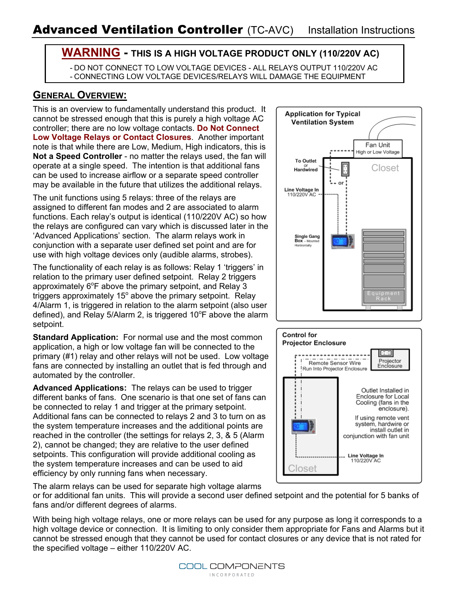### **WARNING - THIS IS A HIGH VOLTAGE PRODUCT ONLY (110/220V AC)**

- DO NOT CONNECT TO LOW VOLTAGE DEVICES - ALL RELAYS OUTPUT 110/220V AC - CONNECTING LOW VOLTAGE DEVICES/RELAYS WILL DAMAGE THE EQUIPMENT

## **GENERAL OVERVIEW:**

This is an overview to fundamentally understand this product. It cannot be stressed enough that this is purely a high voltage AC controller; there are no low voltage contacts. **Do Not Connect Low Voltage Relays or Contact Closures**. Another important note is that while there are Low, Medium, High indicators, this is **Not a Speed Controller** - no matter the relays used, the fan will operate at a single speed. The intention is that additional fans can be used to increase airflow or a separate speed controller may be available in the future that utilizes the additional relays.

The unit functions using 5 relays: three of the relays are assigned to different fan modes and 2 are associated to alarm functions. Each relay's output is identical (110/220V AC) so how the relays are configured can vary which is discussed later in the 'Advanced Applications' section. The alarm relays work in conjunction with a separate user defined set point and are for use with high voltage devices only (audible alarms, strobes).

The functionality of each relay is as follows: Relay 1 'triggers' in relation to the primary user defined setpoint. Relay 2 triggers approximately  $6^{\circ}$ F above the primary setpoint, and Relay 3 triggers approximately 15 $^{\circ}$  above the primary setpoint. Relay 4/Alarm 1, is triggered in relation to the alarm setpoint (also user defined), and Relay 5/Alarm 2, is triggered 10 $\degree$ F above the alarm setpoint.

**Standard Application:** For normal use and the most common application, a high or low voltage fan will be connected to the primary (#1) relay and other relays will not be used. Low voltage fans are connected by installing an outlet that is fed through and automated by the controller.

**Advanced Applications:** The relays can be used to trigger different banks of fans. One scenario is that one set of fans can be connected to relay 1 and trigger at the primary setpoint. Additional fans can be connected to relays 2 and 3 to turn on as the system temperature increases and the additional points are reached in the controller (the settings for relays 2, 3, & 5 (Alarm 2), cannot be changed; they are relative to the user defined setpoints. This configuration will provide additional cooling as the system temperature increases and can be used to aid efficiency by only running fans when necessary.

The alarm relays can be used for separate high voltage alarms

or for additional fan units. This will provide a second user defined setpoint and the potential for 5 banks of fans and/or different degrees of alarms.

With being high voltage relays, one or more relays can be used for any purpose as long it corresponds to a high voltage device or connection. It is limiting to only consider them appropriate for Fans and Alarms but it cannot be stressed enough that they cannot be used for contact closures or any device that is not rated for the specified voltage – either 110/220V AC.





COOL COMPONENTS **INCORPORATED**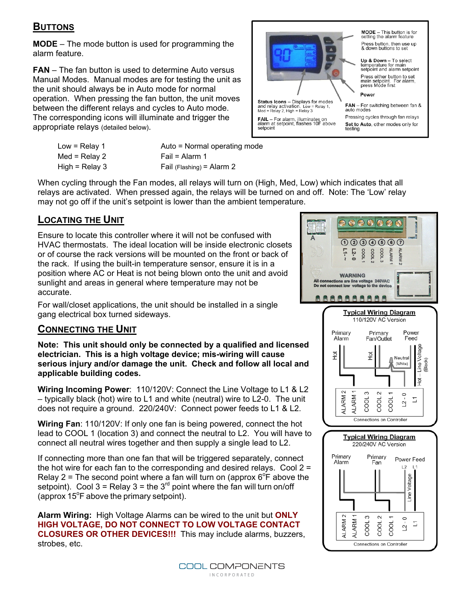### **BUTTONS**

**MODE** – The mode button is used for programming the alarm feature.

**FAN** – The fan button is used to determine Auto versus Manual Modes. Manual modes are for testing the unit as the unit should always be in Auto mode for normal operation. When pressing the fan button, the unit moves between the different relays and cycles to Auto mode. The corresponding icons will illuminate and trigger the appropriate relays (detailed below).



Up & Down - To select temperature for main<br>setpoint and alarm setpoint Press either button to set<br>main setpoint. For alarm,<br>press Mode first FAN - For switching between fan & Pressing cycles through fan relays

- Low = Relay 1 Med = Relay 2 High =  $Relay 3$
- Fail = Alarm 1 Fail (Flashing) = Alarm 2

Auto = Normal operating mode

When cycling through the Fan modes, all relays will turn on (High, Med, Low) which indicates that all relays are activated. When pressed again, the relays will be turned on and off. Note: The 'Low' relay may not go off if the unit's setpoint is lower than the ambient temperature.

#### **LOCATING THE UNIT**

Ensure to locate this controller where it will not be confused with HVAC thermostats. The ideal location will be inside electronic closets or of course the rack versions will be mounted on the front or back of the rack. If using the built-in temperature sensor, ensure it is in a position where AC or Heat is not being blown onto the unit and avoid sunlight and areas in general where temperature may not be accurate.

For wall/closet applications, the unit should be installed in a single gang electrical box turned sideways.

#### **CONNECTING THE UNIT**

**Note: This unit should only be connected by a qualified and licensed electrician. This is a high voltage device; mis-wiring will cause serious injury and/or damage the unit. Check and follow all local and applicable building codes.** 

**Wiring Incoming Power**: 110/120V: Connect the Line Voltage to L1 & L2 – typically black (hot) wire to L1 and white (neutral) wire to L2-0. The unit does not require a ground. 220/240V: Connect power feeds to L1 & L2.

**Wiring Fan**: 110/120V: If only one fan is being powered, connect the hot lead to COOL 1 (location 3) and connect the neutral to L2. You will have to connect all neutral wires together and then supply a single lead to L2.

If connecting more than one fan that will be triggered separately, connect the hot wire for each fan to the corresponding and desired relays. Cool  $2 =$ Relay 2 = The second point where a fan will turn on (approx  $6^{\circ}F$  above the setpoint). Cool 3 = Relay 3 = the  $3<sup>rd</sup>$  point where the fan will turn on/off (approx  $15^{\circ}$ F above the primary setpoint).

**Alarm Wiring:** High Voltage Alarms can be wired to the unit but **ONLY HIGH VOLTAGE, DO NOT CONNECT TO LOW VOLTAGE CONTACT CLOSURES OR OTHER DEVICES!!!** This may include alarms, buzzers, strobes, etc.

> COOL COMPONENTS **INCORPORATED**